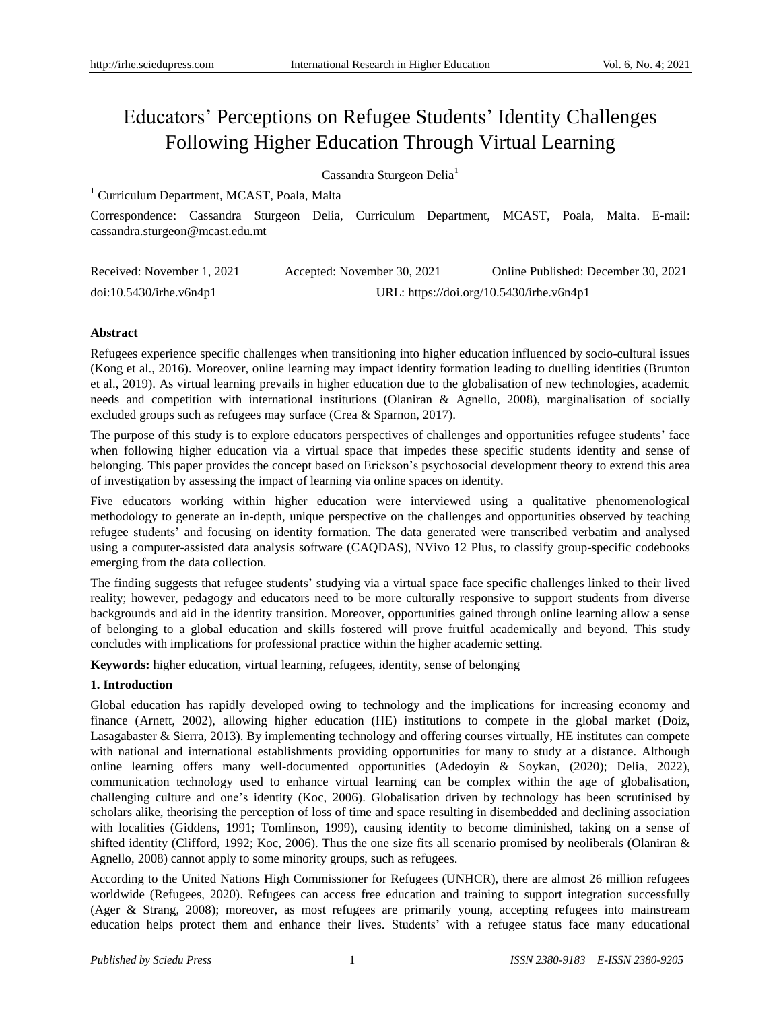# Educators" Perceptions on Refugee Students" Identity Challenges Following Higher Education Through Virtual Learning

Cassandra Sturgeon Delia<sup>1</sup>

<sup>1</sup> Curriculum Department, MCAST, Poala, Malta

Correspondence: Cassandra Sturgeon Delia, Curriculum Department, MCAST, Poala, Malta. E-mail: cassandra.sturgeon@mcast.edu.mt

| Received: November 1, 2021 | Accepted: November 30, 2021              | Online Published: December 30, 2021 |
|----------------------------|------------------------------------------|-------------------------------------|
| doi:10.5430/irhe.v6n4p1    | URL: https://doi.org/10.5430/irhe.v6n4p1 |                                     |

# **Abstract**

Refugees experience specific challenges when transitioning into higher education influenced by socio-cultural issues (Kong et al., 2016). Moreover, online learning may impact identity formation leading to duelling identities (Brunton et al., 2019). As virtual learning prevails in higher education due to the globalisation of new technologies, academic needs and competition with international institutions (Olaniran & Agnello, 2008), marginalisation of socially excluded groups such as refugees may surface (Crea & Sparnon, 2017).

The purpose of this study is to explore educators perspectives of challenges and opportunities refugee students" face when following higher education via a virtual space that impedes these specific students identity and sense of belonging. This paper provides the concept based on Erickson"s psychosocial development theory to extend this area of investigation by assessing the impact of learning via online spaces on identity.

Five educators working within higher education were interviewed using a qualitative phenomenological methodology to generate an in-depth, unique perspective on the challenges and opportunities observed by teaching refugee students" and focusing on identity formation. The data generated were transcribed verbatim and analysed using a computer-assisted data analysis software (CAQDAS), NVivo 12 Plus, to classify group-specific codebooks emerging from the data collection.

The finding suggests that refugee students" studying via a virtual space face specific challenges linked to their lived reality; however, pedagogy and educators need to be more culturally responsive to support students from diverse backgrounds and aid in the identity transition. Moreover, opportunities gained through online learning allow a sense of belonging to a global education and skills fostered will prove fruitful academically and beyond. This study concludes with implications for professional practice within the higher academic setting.

**Keywords:** higher education, virtual learning, refugees, identity, sense of belonging

# **1. Introduction**

Global education has rapidly developed owing to technology and the implications for increasing economy and finance (Arnett, 2002), allowing higher education (HE) institutions to compete in the global market (Doiz, Lasagabaster & Sierra, 2013). By implementing technology and offering courses virtually, HE institutes can compete with national and international establishments providing opportunities for many to study at a distance. Although online learning offers many well-documented opportunities (Adedoyin & Soykan, (2020); Delia, 2022), communication technology used to enhance virtual learning can be complex within the age of globalisation, challenging culture and one"s identity (Koc, 2006). Globalisation driven by technology has been scrutinised by scholars alike, theorising the perception of loss of time and space resulting in disembedded and declining association with localities (Giddens, 1991; Tomlinson, 1999), causing identity to become diminished, taking on a sense of shifted identity (Clifford, 1992; Koc, 2006). Thus the one size fits all scenario promised by neoliberals (Olaniran  $\&$ Agnello, 2008) cannot apply to some minority groups, such as refugees.

According to the United Nations High Commissioner for Refugees (UNHCR), there are almost 26 million refugees worldwide (Refugees, 2020). Refugees can access free education and training to support integration successfully (Ager & Strang, 2008); moreover, as most refugees are primarily young, accepting refugees into mainstream education helps protect them and enhance their lives. Students" with a refugee status face many educational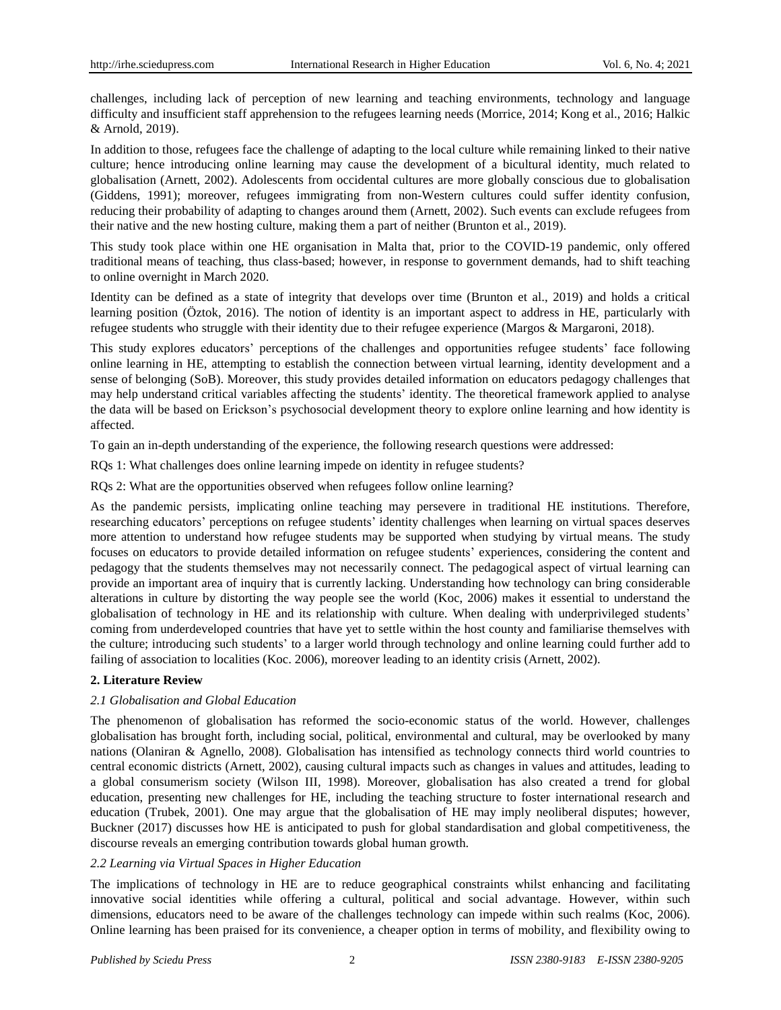challenges, including lack of perception of new learning and teaching environments, technology and language difficulty and insufficient staff apprehension to the refugees learning needs (Morrice, 2014; Kong et al., 2016; Halkic & Arnold, 2019).

In addition to those, refugees face the challenge of adapting to the local culture while remaining linked to their native culture; hence introducing online learning may cause the development of a bicultural identity, much related to globalisation (Arnett, 2002). Adolescents from occidental cultures are more globally conscious due to globalisation (Giddens, 1991); moreover, refugees immigrating from non-Western cultures could suffer identity confusion, reducing their probability of adapting to changes around them (Arnett, 2002). Such events can exclude refugees from their native and the new hosting culture, making them a part of neither (Brunton et al., 2019).

This study took place within one HE organisation in Malta that, prior to the COVID-19 pandemic, only offered traditional means of teaching, thus class-based; however, in response to government demands, had to shift teaching to online overnight in March 2020.

Identity can be defined as a state of integrity that develops over time (Brunton et al., 2019) and holds a critical learning position (Öztok, 2016). The notion of identity is an important aspect to address in HE, particularly with refugee students who struggle with their identity due to their refugee experience (Margos & Margaroni, 2018).

This study explores educators" perceptions of the challenges and opportunities refugee students" face following online learning in HE, attempting to establish the connection between virtual learning, identity development and a sense of belonging (SoB). Moreover, this study provides detailed information on educators pedagogy challenges that may help understand critical variables affecting the students" identity. The theoretical framework applied to analyse the data will be based on Erickson"s psychosocial development theory to explore online learning and how identity is affected.

To gain an in-depth understanding of the experience, the following research questions were addressed:

RQs 1: What challenges does online learning impede on identity in refugee students?

RQs 2: What are the opportunities observed when refugees follow online learning?

As the pandemic persists, implicating online teaching may persevere in traditional HE institutions. Therefore, researching educators" perceptions on refugee students" identity challenges when learning on virtual spaces deserves more attention to understand how refugee students may be supported when studying by virtual means. The study focuses on educators to provide detailed information on refugee students" experiences, considering the content and pedagogy that the students themselves may not necessarily connect. The pedagogical aspect of virtual learning can provide an important area of inquiry that is currently lacking. Understanding how technology can bring considerable alterations in culture by distorting the way people see the world (Koc, 2006) makes it essential to understand the globalisation of technology in HE and its relationship with culture. When dealing with underprivileged students" coming from underdeveloped countries that have yet to settle within the host county and familiarise themselves with the culture; introducing such students" to a larger world through technology and online learning could further add to failing of association to localities (Koc. 2006), moreover leading to an identity crisis (Arnett, 2002).

# **2. Literature Review**

# *2.1 Globalisation and Global Education*

The phenomenon of globalisation has reformed the socio-economic status of the world. However, challenges globalisation has brought forth, including social, political, environmental and cultural, may be overlooked by many nations (Olaniran & Agnello, 2008). Globalisation has intensified as technology connects third world countries to central economic districts (Arnett, 2002), causing cultural impacts such as changes in values and attitudes, leading to a global consumerism society (Wilson III, 1998). Moreover, globalisation has also created a trend for global education, presenting new challenges for HE, including the teaching structure to foster international research and education (Trubek, 2001). One may argue that the globalisation of HE may imply neoliberal disputes; however, Buckner (2017) discusses how HE is anticipated to push for global standardisation and global competitiveness, the discourse reveals an emerging contribution towards global human growth.

# *2.2 Learning via Virtual Spaces in Higher Education*

The implications of technology in HE are to reduce geographical constraints whilst enhancing and facilitating innovative social identities while offering a cultural, political and social advantage. However, within such dimensions, educators need to be aware of the challenges technology can impede within such realms (Koc, 2006). Online learning has been praised for its convenience, a cheaper option in terms of mobility, and flexibility owing to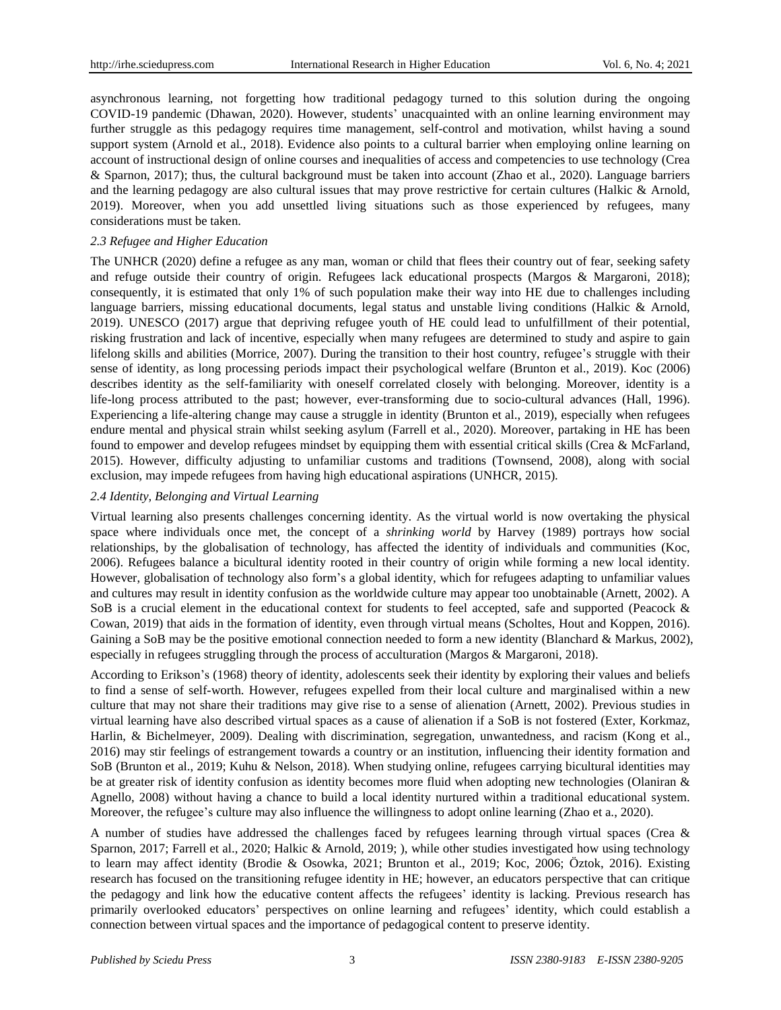asynchronous learning, not forgetting how traditional pedagogy turned to this solution during the ongoing COVID-19 pandemic (Dhawan, 2020). However, students" unacquainted with an online learning environment may further struggle as this pedagogy requires time management, self-control and motivation, whilst having a sound support system (Arnold et al., 2018). Evidence also points to a cultural barrier when employing online learning on account of instructional design of online courses and inequalities of access and competencies to use technology (Crea & Sparnon, 2017); thus, the cultural background must be taken into account (Zhao et al., 2020). Language barriers and the learning pedagogy are also cultural issues that may prove restrictive for certain cultures (Halkic & Arnold, 2019). Moreover, when you add unsettled living situations such as those experienced by refugees, many considerations must be taken.

## *2.3 Refugee and Higher Education*

The UNHCR (2020) define a refugee as any man, woman or child that flees their country out of fear, seeking safety and refuge outside their country of origin. Refugees lack educational prospects (Margos & Margaroni, 2018); consequently, it is estimated that only 1% of such population make their way into HE due to challenges including language barriers, missing educational documents, legal status and unstable living conditions (Halkic & Arnold, 2019). UNESCO (2017) argue that depriving refugee youth of HE could lead to unfulfillment of their potential, risking frustration and lack of incentive, especially when many refugees are determined to study and aspire to gain lifelong skills and abilities (Morrice, 2007). During the transition to their host country, refugee's struggle with their sense of identity, as long processing periods impact their psychological welfare (Brunton et al., 2019). Koc (2006) describes identity as the self-familiarity with oneself correlated closely with belonging. Moreover, identity is a life-long process attributed to the past; however, ever-transforming due to socio-cultural advances (Hall, 1996). Experiencing a life-altering change may cause a struggle in identity (Brunton et al., 2019), especially when refugees endure mental and physical strain whilst seeking asylum (Farrell et al., 2020). Moreover, partaking in HE has been found to empower and develop refugees mindset by equipping them with essential critical skills (Crea  $\&$  McFarland, 2015). However, difficulty adjusting to unfamiliar customs and traditions (Townsend, 2008), along with social exclusion, may impede refugees from having high educational aspirations (UNHCR, 2015).

## *2.4 Identity, Belonging and Virtual Learning*

Virtual learning also presents challenges concerning identity. As the virtual world is now overtaking the physical space where individuals once met, the concept of a *shrinking world* by Harvey (1989) portrays how social relationships, by the globalisation of technology, has affected the identity of individuals and communities (Koc, 2006). Refugees balance a bicultural identity rooted in their country of origin while forming a new local identity. However, globalisation of technology also form"s a global identity, which for refugees adapting to unfamiliar values and cultures may result in identity confusion as the worldwide culture may appear too unobtainable (Arnett, 2002). A SoB is a crucial element in the educational context for students to feel accepted, safe and supported (Peacock & Cowan, 2019) that aids in the formation of identity, even through virtual means (Scholtes, Hout and Koppen, 2016). Gaining a SoB may be the positive emotional connection needed to form a new identity (Blanchard & Markus, 2002), especially in refugees struggling through the process of acculturation (Margos & Margaroni, 2018).

According to Erikson"s (1968) theory of identity, adolescents seek their identity by exploring their values and beliefs to find a sense of self-worth. However, refugees expelled from their local culture and marginalised within a new culture that may not share their traditions may give rise to a sense of alienation (Arnett, 2002). Previous studies in virtual learning have also described virtual spaces as a cause of alienation if a SoB is not fostered (Exter, Korkmaz, Harlin, & Bichelmeyer, 2009). Dealing with discrimination, segregation, unwantedness, and racism (Kong et al., 2016) may stir feelings of estrangement towards a country or an institution, influencing their identity formation and SoB (Brunton et al., 2019; Kuhu & Nelson, 2018). When studying online, refugees carrying bicultural identities may be at greater risk of identity confusion as identity becomes more fluid when adopting new technologies (Olaniran & Agnello, 2008) without having a chance to build a local identity nurtured within a traditional educational system. Moreover, the refugee's culture may also influence the willingness to adopt online learning (Zhao et a., 2020).

A number of studies have addressed the challenges faced by refugees learning through virtual spaces (Crea & Sparnon, 2017; Farrell et al., 2020; Halkic & Arnold, 2019; ), while other studies investigated how using technology to learn may affect identity (Brodie & Osowka, 2021; Brunton et al., 2019; Koc, 2006; Öztok, 2016). Existing research has focused on the transitioning refugee identity in HE; however, an educators perspective that can critique the pedagogy and link how the educative content affects the refugees" identity is lacking. Previous research has primarily overlooked educators" perspectives on online learning and refugees" identity, which could establish a connection between virtual spaces and the importance of pedagogical content to preserve identity.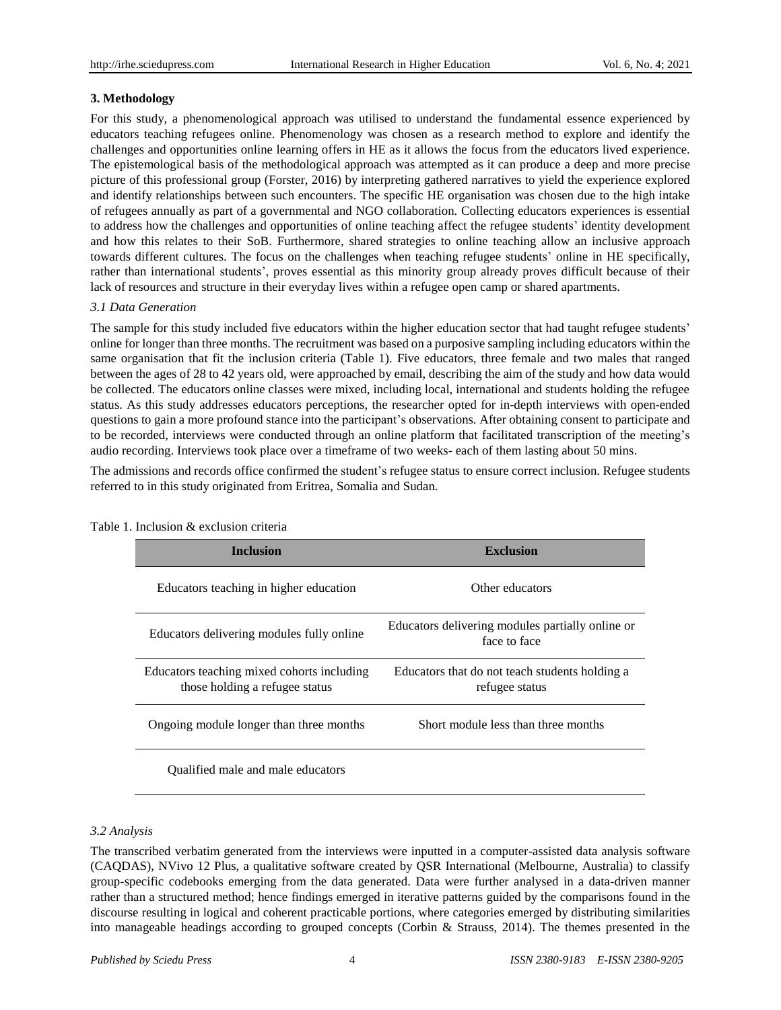#### **3. Methodology**

For this study, a phenomenological approach was utilised to understand the fundamental essence experienced by educators teaching refugees online. Phenomenology was chosen as a research method to explore and identify the challenges and opportunities online learning offers in HE as it allows the focus from the educators lived experience. The epistemological basis of the methodological approach was attempted as it can produce a deep and more precise picture of this professional group (Forster, 2016) by interpreting gathered narratives to yield the experience explored and identify relationships between such encounters. The specific HE organisation was chosen due to the high intake of refugees annually as part of a governmental and NGO collaboration. Collecting educators experiences is essential to address how the challenges and opportunities of online teaching affect the refugee students" identity development and how this relates to their SoB. Furthermore, shared strategies to online teaching allow an inclusive approach towards different cultures. The focus on the challenges when teaching refugee students" online in HE specifically, rather than international students", proves essential as this minority group already proves difficult because of their lack of resources and structure in their everyday lives within a refugee open camp or shared apartments.

## *3.1 Data Generation*

The sample for this study included five educators within the higher education sector that had taught refugee students" online for longer than three months. The recruitment was based on a purposive sampling including educators within the same organisation that fit the inclusion criteria (Table 1). Five educators, three female and two males that ranged between the ages of 28 to 42 years old, were approached by email, describing the aim of the study and how data would be collected. The educators online classes were mixed, including local, international and students holding the refugee status. As this study addresses educators perceptions, the researcher opted for in-depth interviews with open-ended questions to gain a more profound stance into the participant"s observations. After obtaining consent to participate and to be recorded, interviews were conducted through an online platform that facilitated transcription of the meeting"s audio recording. Interviews took place over a timeframe of two weeks- each of them lasting about 50 mins.

The admissions and records office confirmed the student"s refugee status to ensure correct inclusion. Refugee students referred to in this study originated from Eritrea, Somalia and Sudan.

| <b>Inclusion</b>                                                             | <b>Exclusion</b>                                                 |  |
|------------------------------------------------------------------------------|------------------------------------------------------------------|--|
| Educators teaching in higher education                                       | Other educators                                                  |  |
| Educators delivering modules fully online                                    | Educators delivering modules partially online or<br>face to face |  |
| Educators teaching mixed cohorts including<br>those holding a refugee status | Educators that do not teach students holding a<br>refugee status |  |
| Ongoing module longer than three months                                      | Short module less than three months                              |  |
| Qualified male and male educators                                            |                                                                  |  |

#### Table 1. Inclusion & exclusion criteria

# *3.2 Analysis*

The transcribed verbatim generated from the interviews were inputted in a computer-assisted data analysis software (CAQDAS), NVivo 12 Plus, a qualitative software created by QSR International (Melbourne, Australia) to classify group-specific codebooks emerging from the data generated. Data were further analysed in a data-driven manner rather than a structured method; hence findings emerged in iterative patterns guided by the comparisons found in the discourse resulting in logical and coherent practicable portions, where categories emerged by distributing similarities into manageable headings according to grouped concepts (Corbin & Strauss, 2014). The themes presented in the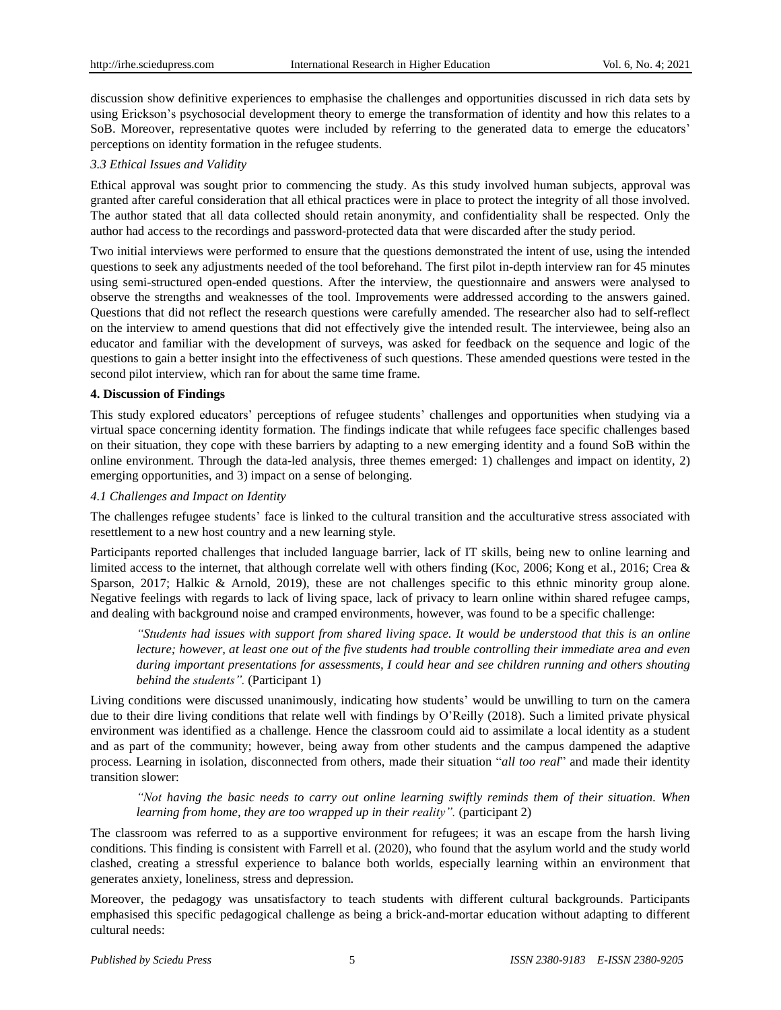discussion show definitive experiences to emphasise the challenges and opportunities discussed in rich data sets by using Erickson"s psychosocial development theory to emerge the transformation of identity and how this relates to a SoB. Moreover, representative quotes were included by referring to the generated data to emerge the educators' perceptions on identity formation in the refugee students.

#### *3.3 Ethical Issues and Validity*

Ethical approval was sought prior to commencing the study. As this study involved human subjects, approval was granted after careful consideration that all ethical practices were in place to protect the integrity of all those involved. The author stated that all data collected should retain anonymity, and confidentiality shall be respected. Only the author had access to the recordings and password-protected data that were discarded after the study period.

Two initial interviews were performed to ensure that the questions demonstrated the intent of use, using the intended questions to seek any adjustments needed of the tool beforehand. The first pilot in-depth interview ran for 45 minutes using semi-structured open-ended questions. After the interview, the questionnaire and answers were analysed to observe the strengths and weaknesses of the tool. Improvements were addressed according to the answers gained. Questions that did not reflect the research questions were carefully amended. The researcher also had to self-reflect on the interview to amend questions that did not effectively give the intended result. The interviewee, being also an educator and familiar with the development of surveys, was asked for feedback on the sequence and logic of the questions to gain a better insight into the effectiveness of such questions. These amended questions were tested in the second pilot interview, which ran for about the same time frame.

## **4. Discussion of Findings**

This study explored educators" perceptions of refugee students" challenges and opportunities when studying via a virtual space concerning identity formation. The findings indicate that while refugees face specific challenges based on their situation, they cope with these barriers by adapting to a new emerging identity and a found SoB within the online environment. Through the data-led analysis, three themes emerged: 1) challenges and impact on identity, 2) emerging opportunities, and 3) impact on a sense of belonging.

## *4.1 Challenges and Impact on Identity*

The challenges refugee students" face is linked to the cultural transition and the acculturative stress associated with resettlement to a new host country and a new learning style.

Participants reported challenges that included language barrier, lack of IT skills, being new to online learning and limited access to the internet, that although correlate well with others finding (Koc, 2006; Kong et al., 2016; Crea & Sparson, 2017; Halkic & Arnold, 2019), these are not challenges specific to this ethnic minority group alone. Negative feelings with regards to lack of living space, lack of privacy to learn online within shared refugee camps, and dealing with background noise and cramped environments, however, was found to be a specific challenge:

"Students had issues with support from shared living space. It would be understood that this is an online lecture; however, at least one out of the five students had trouble controlling their immediate area and even *during important presentations for assessments, I could hear and see children running and others shouting behind the students".* (Participant 1)

Living conditions were discussed unanimously, indicating how students" would be unwilling to turn on the camera due to their dire living conditions that relate well with findings by O'Reilly (2018). Such a limited private physical environment was identified as a challenge. Hence the classroom could aid to assimilate a local identity as a student and as part of the community; however, being away from other students and the campus dampened the adaptive process. Learning in isolation, disconnected from others, made their situation "*all too real*" and made their identity transition slower:

*"Not having the basic needs to carry out online learning swiftly reminds them of their situation. When learning from home, they are too wrapped up in their reality".* (participant 2)

The classroom was referred to as a supportive environment for refugees; it was an escape from the harsh living conditions. This finding is consistent with Farrell et al. (2020), who found that the asylum world and the study world clashed, creating a stressful experience to balance both worlds, especially learning within an environment that generates anxiety, loneliness, stress and depression.

Moreover, the pedagogy was unsatisfactory to teach students with different cultural backgrounds. Participants emphasised this specific pedagogical challenge as being a brick-and-mortar education without adapting to different cultural needs: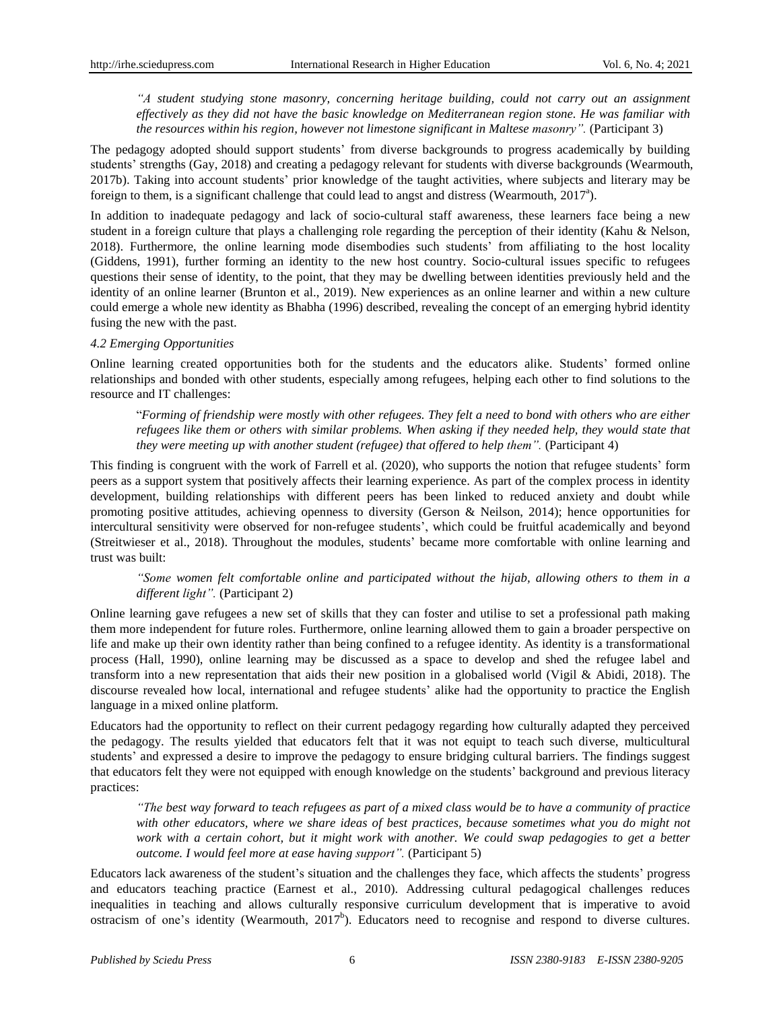*"A student studying stone masonry, concerning heritage building, could not carry out an assignment effectively as they did not have the basic knowledge on Mediterranean region stone. He was familiar with the resources within his region, however not limestone significant in Maltese masonry".* (Participant 3)

The pedagogy adopted should support students" from diverse backgrounds to progress academically by building students' strengths (Gay, 2018) and creating a pedagogy relevant for students with diverse backgrounds (Wearmouth, 2017b). Taking into account students" prior knowledge of the taught activities, where subjects and literary may be foreign to them, is a significant challenge that could lead to angst and distress (Wearmouth,  $2017^a$ ).

In addition to inadequate pedagogy and lack of socio-cultural staff awareness, these learners face being a new student in a foreign culture that plays a challenging role regarding the perception of their identity (Kahu & Nelson, 2018). Furthermore, the online learning mode disembodies such students" from affiliating to the host locality (Giddens, 1991), further forming an identity to the new host country. Socio-cultural issues specific to refugees questions their sense of identity, to the point, that they may be dwelling between identities previously held and the identity of an online learner (Brunton et al., 2019). New experiences as an online learner and within a new culture could emerge a whole new identity as Bhabha (1996) described, revealing the concept of an emerging hybrid identity fusing the new with the past.

#### *4.2 Emerging Opportunities*

Online learning created opportunities both for the students and the educators alike. Students" formed online relationships and bonded with other students, especially among refugees, helping each other to find solutions to the resource and IT challenges:

"Forming of friendship were mostly with other refugees. They felt a need to bond with others who are either refugees like them or others with similar problems. When asking if they needed help, they would state that *they were meeting up with another student (refugee) that offered to help them".* (Participant 4)

This finding is congruent with the work of Farrell et al. (2020), who supports the notion that refugee students" form peers as a support system that positively affects their learning experience. As part of the complex process in identity development, building relationships with different peers has been linked to reduced anxiety and doubt while promoting positive attitudes, achieving openness to diversity (Gerson & Neilson, 2014); hence opportunities for intercultural sensitivity were observed for non-refugee students", which could be fruitful academically and beyond (Streitwieser et al., 2018). Throughout the modules, students" became more comfortable with online learning and trust was built:

*"Some women felt comfortable online and participated without the hijab, allowing others to them in a different light".* (Participant 2)

Online learning gave refugees a new set of skills that they can foster and utilise to set a professional path making them more independent for future roles. Furthermore, online learning allowed them to gain a broader perspective on life and make up their own identity rather than being confined to a refugee identity. As identity is a transformational process (Hall, 1990), online learning may be discussed as a space to develop and shed the refugee label and transform into a new representation that aids their new position in a globalised world (Vigil & Abidi, 2018). The discourse revealed how local, international and refugee students" alike had the opportunity to practice the English language in a mixed online platform.

Educators had the opportunity to reflect on their current pedagogy regarding how culturally adapted they perceived the pedagogy. The results yielded that educators felt that it was not equipt to teach such diverse, multicultural students" and expressed a desire to improve the pedagogy to ensure bridging cultural barriers. The findings suggest that educators felt they were not equipped with enough knowledge on the students" background and previous literacy practices:

*"The best way forward to teach refugees as part of a mixed class would be to have a community of practice with other educators, where we share ideas of best practices, because sometimes what you do might not* work with a certain cohort, but it might work with another. We could swap pedagogies to get a better *outcome. I would feel more at ease having support".* (Participant 5)

Educators lack awareness of the student"s situation and the challenges they face, which affects the students" progress and educators teaching practice (Earnest et al., 2010). Addressing cultural pedagogical challenges reduces inequalities in teaching and allows culturally responsive curriculum development that is imperative to avoid ostracism of one's identity (Wearmouth,  $2017^b$ ). Educators need to recognise and respond to diverse cultures.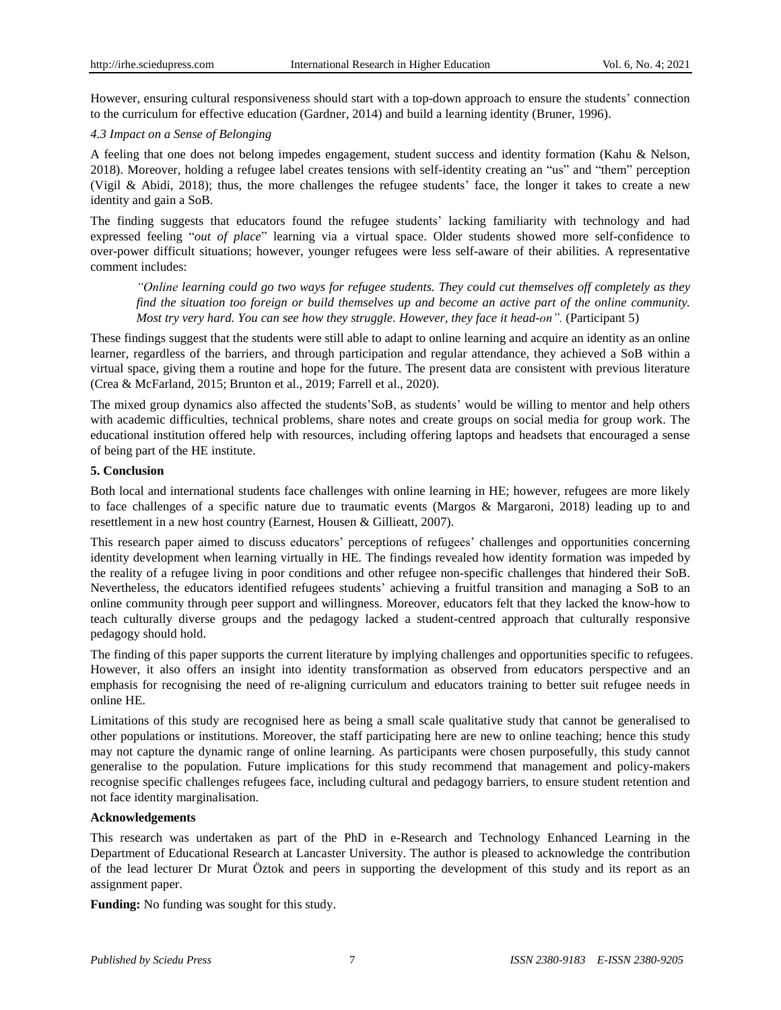However, ensuring cultural responsiveness should start with a top-down approach to ensure the students" connection to the curriculum for effective education (Gardner, 2014) and build a learning identity (Bruner, 1996).

#### *4.3 Impact on a Sense of Belonging*

A feeling that one does not belong impedes engagement, student success and identity formation (Kahu & Nelson, 2018). Moreover, holding a refugee label creates tensions with self-identity creating an "us" and "them" perception (Vigil & Abidi, 2018); thus, the more challenges the refugee students' face, the longer it takes to create a new identity and gain a SoB.

The finding suggests that educators found the refugee students" lacking familiarity with technology and had expressed feeling "*out of place*" learning via a virtual space. Older students showed more self-confidence to over-power difficult situations; however, younger refugees were less self-aware of their abilities. A representative comment includes:

*"Online learning could go two ways for refugee students. They could cut themselves off completely as they* find the situation too foreign or build themselves up and become an active part of the online community. *Most try very hard. You can see how they struggle. However, they face it head-on".* (Participant 5)

These findings suggest that the students were still able to adapt to online learning and acquire an identity as an online learner, regardless of the barriers, and through participation and regular attendance, they achieved a SoB within a virtual space, giving them a routine and hope for the future. The present data are consistent with previous literature (Crea & McFarland, 2015; Brunton et al., 2019; Farrell et al., 2020).

The mixed group dynamics also affected the students"SoB, as students" would be willing to mentor and help others with academic difficulties, technical problems, share notes and create groups on social media for group work. The educational institution offered help with resources, including offering laptops and headsets that encouraged a sense of being part of the HE institute.

## **5. Conclusion**

Both local and international students face challenges with online learning in HE; however, refugees are more likely to face challenges of a specific nature due to traumatic events (Margos & Margaroni, 2018) leading up to and resettlement in a new host country (Earnest, Housen & Gillieatt, 2007).

This research paper aimed to discuss educators" perceptions of refugees" challenges and opportunities concerning identity development when learning virtually in HE. The findings revealed how identity formation was impeded by the reality of a refugee living in poor conditions and other refugee non-specific challenges that hindered their SoB. Nevertheless, the educators identified refugees students" achieving a fruitful transition and managing a SoB to an online community through peer support and willingness. Moreover, educators felt that they lacked the know-how to teach culturally diverse groups and the pedagogy lacked a student-centred approach that culturally responsive pedagogy should hold.

The finding of this paper supports the current literature by implying challenges and opportunities specific to refugees. However, it also offers an insight into identity transformation as observed from educators perspective and an emphasis for recognising the need of re-aligning curriculum and educators training to better suit refugee needs in online HE.

Limitations of this study are recognised here as being a small scale qualitative study that cannot be generalised to other populations or institutions. Moreover, the staff participating here are new to online teaching; hence this study may not capture the dynamic range of online learning. As participants were chosen purposefully, this study cannot generalise to the population. Future implications for this study recommend that management and policy-makers recognise specific challenges refugees face, including cultural and pedagogy barriers, to ensure student retention and not face identity marginalisation.

# **Acknowledgements**

This research was undertaken as part of the PhD in e-Research and Technology Enhanced Learning in the Department of Educational Research at Lancaster University. The author is pleased to acknowledge the contribution of the lead lecturer Dr Murat Öztok and peers in supporting the development of this study and its report as an assignment paper.

**Funding:** No funding was sought for this study.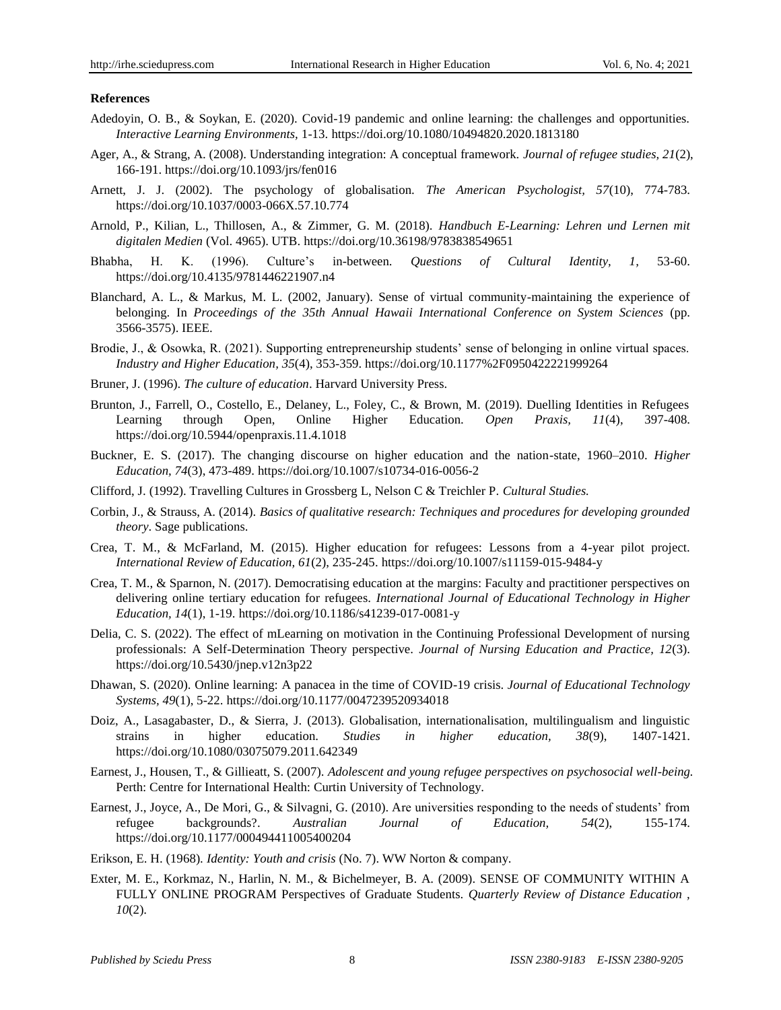#### **References**

- Adedoyin, O. B., & Soykan, E. (2020). Covid-19 pandemic and online learning: the challenges and opportunities. *Interactive Learning Environments,* 1-13. https://doi.org/10.1080/10494820.2020.1813180
- Ager, A., & Strang, A. (2008). Understanding integration: A conceptual framework. *Journal of refugee studies, 21*(2), 166-191.<https://doi.org/10.1093/jrs/fen016>
- Arnett, J. J. (2002). The psychology of globalisation. *The American Psychologist, 57*(10), 774-783. [https://doi.org/10.1037/0003-066X.57.10.774](https://psycnet.apa.org/doi/10.1037/0003-066X.57.10.774)
- Arnold, P., Kilian, L., Thillosen, A., & Zimmer, G. M. (2018). *Handbuch E-Learning: Lehren und Lernen mit digitalen Medien* (Vol. 4965). UTB. https://doi.org/10.36198/9783838549651
- Bhabha, H. K. (1996). Culture"s in-between. *Questions of Cultural Identity, 1,* 53-60. https://doi.org/10.4135/9781446221907.n4
- Blanchard, A. L., & Markus, M. L. (2002, January). Sense of virtual community-maintaining the experience of belonging. In *Proceedings of the 35th Annual Hawaii International Conference on System Sciences* (pp. 3566-3575). IEEE.
- Brodie, J., & Osowka, R. (2021). Supporting entrepreneurship students' sense of belonging in online virtual spaces. *Industry and Higher Education, 35*(4), 353-359. https://doi.org/10.1177%2F0950422221999264
- Bruner, J. (1996). *The culture of education*. Harvard University Press.
- Brunton, J., Farrell, O., Costello, E., Delaney, L., Foley, C., & Brown, M. (2019). Duelling Identities in Refugees Learning through Open, Online Higher Education. *Open Praxis, 11*(4), 397-408. https://doi.org/10.5944/openpraxis.11.4.1018
- Buckner, E. S. (2017). The changing discourse on higher education and the nation-state, 1960–2010. *Higher Education, 74*(3), 473-489. https://doi.org/10.1007/s10734-016-0056-2
- Clifford, J. (1992). Travelling Cultures in Grossberg L, Nelson C & Treichler P. *Cultural Studies.*
- Corbin, J., & Strauss, A. (2014). *Basics of qualitative research: Techniques and procedures for developing grounded theory*. Sage publications.
- Crea, T. M., & McFarland, M. (2015). Higher education for refugees: Lessons from a 4-year pilot project. *International Review of Education, 61*(2), 235-245. https://doi.org/10.1007/s11159-015-9484-y
- Crea, T. M., & Sparnon, N. (2017). Democratising education at the margins: Faculty and practitioner perspectives on delivering online tertiary education for refugees. *International Journal of Educational Technology in Higher Education, 14*(1), 1-19. https://doi.org/10.1186/s41239-017-0081-y
- Delia, C. S. (2022). The effect of mLearning on motivation in the Continuing Professional Development of nursing professionals: A Self-Determination Theory perspective. *Journal of Nursing Education and Practice, 12*(3). https://doi.org/10.5430/jnep.v12n3p22
- Dhawan, S. (2020). Online learning: A panacea in the time of COVID-19 crisis. *Journal of Educational Technology Systems, 49*(1), 5-22[. https://doi.org/10.1177/0047239520934018](https://doi.org/10.1177%2F0047239520934018)
- Doiz, A., Lasagabaster, D., & Sierra, J. (2013). Globalisation, internationalisation, multilingualism and linguistic strains in higher education. *Studies in higher education, 38*(9), 1407-1421. <https://doi.org/10.1080/03075079.2011.642349>
- Earnest, J., Housen, T., & Gillieatt, S. (2007). *Adolescent and young refugee perspectives on psychosocial well-being.*  Perth: Centre for International Health: Curtin University of Technology.
- Earnest, J., Joyce, A., De Mori, G., & Silvagni, G. (2010). Are universities responding to the needs of students" from refugee backgrounds?. *Australian Journal of Education, 54*(2), 155-174. [https://doi.org/10.1177/000494411005400204](https://doi.org/10.1177%2F000494411005400204)
- Erikson, E. H. (1968). *Identity: Youth and crisis* (No. 7). WW Norton & company.
- Exter, M. E., Korkmaz, N., Harlin, N. M., & Bichelmeyer, B. A. (2009). SENSE OF COMMUNITY WITHIN A FULLY ONLINE PROGRAM Perspectives of Graduate Students. *Quarterly Review of Distance Education , 10*(2).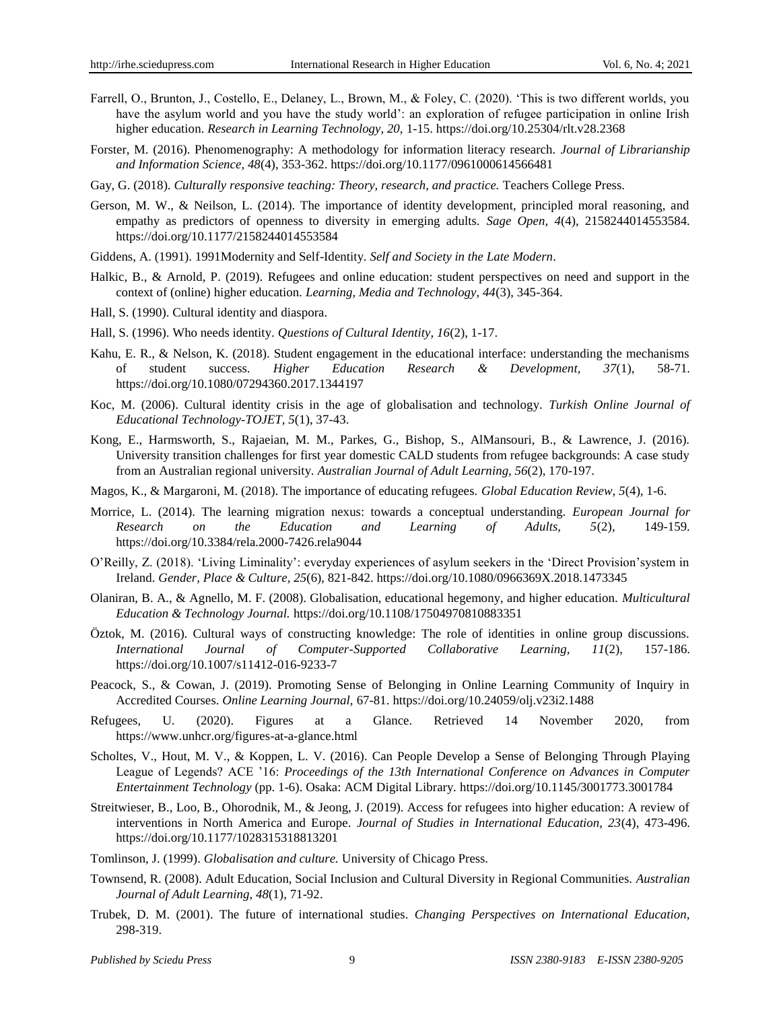- Farrell, O., Brunton, J., Costello, E., Delaney, L., Brown, M., & Foley, C. (2020). "This is two different worlds, you have the asylum world and you have the study world": an exploration of refugee participation in online Irish higher education. *Research in Learning Technology, 20,* 1-15. [https://doi.org/10.25304/rlt.v28.2368](http://dx.doi.org/10.25304/rlt.v28.2368)
- Forster, M. (2016). Phenomenography: A methodology for information literacy research. *Journal of Librarianship and Information Science, 48*(4), 353-362. https://doi.org[/10.1177/0961000614566481](https://doi-org.ezproxy.lancs.ac.uk/10.1177/0961000614566481)
- Gay, G. (2018). *Culturally responsive teaching: Theory, research, and practice.* Teachers College Press.
- Gerson, M. W., & Neilson, L. (2014). The importance of identity development, principled moral reasoning, and empathy as predictors of openness to diversity in emerging adults. *Sage Open, 4*(4), 2158244014553584. [https://doi.org/10.1177/2158244014553584](https://doi.org/10.1177%2F2158244014553584)
- Giddens, A. (1991). 1991Modernity and Self-Identity. *Self and Society in the Late Modern*.
- Halkic, B., & Arnold, P. (2019). Refugees and online education: student perspectives on need and support in the context of (online) higher education. *Learning, Media and Technology, 44*(3), 345-364.
- Hall, S. (1990). Cultural identity and diaspora.
- Hall, S. (1996). Who needs identity. *Questions of Cultural Identity, 16*(2), 1-17.
- Kahu, E. R., & Nelson, K. (2018). Student engagement in the educational interface: understanding the mechanisms of student success. *Higher Education Research & Development, 37*(1), 58-71. <https://doi.org/10.1080/07294360.2017.1344197>
- Koc, M. (2006). Cultural identity crisis in the age of globalisation and technology. *Turkish Online Journal of Educational Technology-TOJET, 5*(1), 37-43.
- Kong, E., Harmsworth, S., Rajaeian, M. M., Parkes, G., Bishop, S., AlMansouri, B., & Lawrence, J. (2016). University transition challenges for first year domestic CALD students from refugee backgrounds: A case study from an Australian regional university. *Australian Journal of Adult Learning, 56*(2), 170-197.
- Magos, K., & Margaroni, M. (2018). The importance of educating refugees. *Global Education Review, 5*(4), 1-6.
- Morrice, L. (2014). The learning migration nexus: towards a conceptual understanding. *European Journal for Research on the Education and Learning of Adults, 5*(2), 149-159. https://doi.org/10.3384/rela.2000-7426.rela9044
- O"Reilly, Z. (2018). "Living Liminality": everyday experiences of asylum seekers in the "Direct Provision"system in Ireland. *Gender, Place & Culture, 25*(6), 821-842[. https://doi.org/10.1080/0966369X.2018.1473345](https://doi.org/10.1080/0966369X.2018.1473345)
- Olaniran, B. A., & Agnello, M. F. (2008). Globalisation, educational hegemony, and higher education. *Multicultural Education & Technology Journal.* https://doi.org/10.1108/17504970810883351
- Öztok, M. (2016). Cultural ways of constructing knowledge: The role of identities in online group discussions. *International Journal of Computer-Supported Collaborative Learning, 11*(2), 157-186. https://doi.org/10.1007/s11412-016-9233-7
- Peacock, S., & Cowan, J. (2019). Promoting Sense of Belonging in Online Learning Community of Inquiry in Accredited Courses. *Online Learning Journal,* 67-81. https://doi.org/10.24059/olj.v23i2.1488
- Refugees, U. (2020). Figures at a Glance. Retrieved 14 November 2020, from <https://www.unhcr.org/figures-at-a-glance.html>
- Scholtes, V., Hout, M. V., & Koppen, L. V. (2016). Can People Develop a Sense of Belonging Through Playing League of Legends? ACE "16: *Proceedings of the 13th International Conference on Advances in Computer Entertainment Technology* (pp. 1-6). Osaka: ACM Digital Library. https://doi.org/10.1145/3001773.3001784
- Streitwieser, B., Loo, B., Ohorodnik, M., & Jeong, J. (2019). Access for refugees into higher education: A review of interventions in North America and Europe. *Journal of Studies in International Education, 23*(4), 473-496. https://doi.org/10.1177/1028315318813201
- Tomlinson, J. (1999). *Globalisation and culture.* University of Chicago Press.
- Townsend, R. (2008). Adult Education, Social Inclusion and Cultural Diversity in Regional Communities. *Australian Journal of Adult Learning, 48*(1), 71-92.
- Trubek, D. M. (2001). The future of international studies. *Changing Perspectives on International Education,*  298-319.